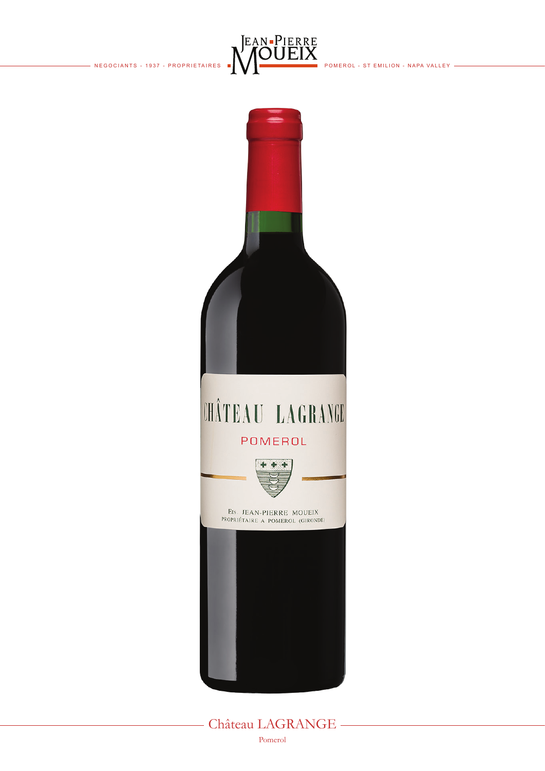- NEGOCIANTS - 1937 - PROPRIETAIRES



POMEROL - ST EMILION - NAPA VALLEY -



- Château LAGRANGE -Pomerol